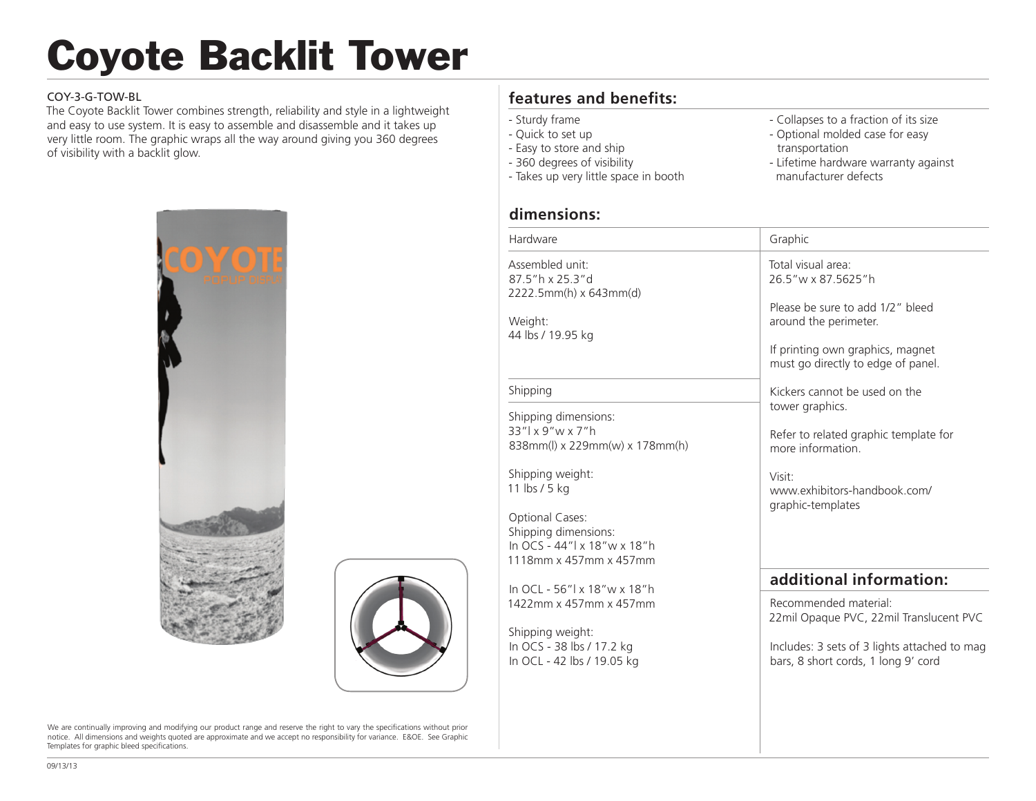# Coyote Backlit Tower

#### COY-3-G-TOW-BL

The Coyote Backlit Tower combines strength, reliability and style in a lightweight and easy to use system. It is easy to assemble and disassemble and it takes up very little room. The graphic wraps all the way around giving you 360 degrees of visibility with a backlit glow.





We are continually improving and modifying our product range and reserve the right to vary the specifications without prior notice. All dimensions and weights quoted are approximate and we accept no responsibility for variance. E&OE. See Graphic Templates for graphic bleed specifications.

# **features and benefits:**

- Sturdy frame
- Quick to set up
- Easy to store and ship - 360 degrees of visibility
- Takes up very little space in booth

## **dimensions:**

÷,

- Collapses to a fraction of its size
- Optional molded case for easy transportation
- Lifetime hardware warranty against manufacturer defects

| Hardware                                                                                         | Graphic                                                                                                                                                                         |
|--------------------------------------------------------------------------------------------------|---------------------------------------------------------------------------------------------------------------------------------------------------------------------------------|
| Assembled unit:<br>87.5"h x 25.3"d<br>2222.5mm(h) x 643mm(d)<br>Weight:<br>44 lbs / 19.95 kg     | Total visual area:<br>26.5"w x 87.5625"h<br>Please be sure to add 1/2" bleed<br>around the perimeter.<br>If printing own graphics, magnet<br>must go directly to edge of panel. |
| Shipping                                                                                         | Kickers cannot be used on the                                                                                                                                                   |
| Shipping dimensions:                                                                             | tower graphics.                                                                                                                                                                 |
| 33"   x 9" w x 7" h<br>838mm(l) x 229mm(w) x 178mm(h)                                            | Refer to related graphic template for<br>more information                                                                                                                       |
| Shipping weight:<br>11 lbs / 5 kg                                                                | Visit:<br>www.exhibitors-handbook.com/<br>graphic-templates                                                                                                                     |
| Optional Cases:<br>Shipping dimensions:<br>In OCS - 44"  x 18"w x 18"h<br>1118mm x 457mm x 457mm |                                                                                                                                                                                 |
| In OCL - 56"  x 18" w x 18" h                                                                    | additional information:                                                                                                                                                         |
| 1422mm x 457mm x 457mm                                                                           | Recommended material:<br>22mil Opaque PVC, 22mil Translucent PVC                                                                                                                |
| Shipping weight:<br>In OCS - 38 lbs / 17.2 kg<br>In OCL - 42 lbs / 19.05 kg                      | Includes: 3 sets of 3 lights attached to mag<br>bars, 8 short cords, 1 long 9' cord                                                                                             |
|                                                                                                  |                                                                                                                                                                                 |